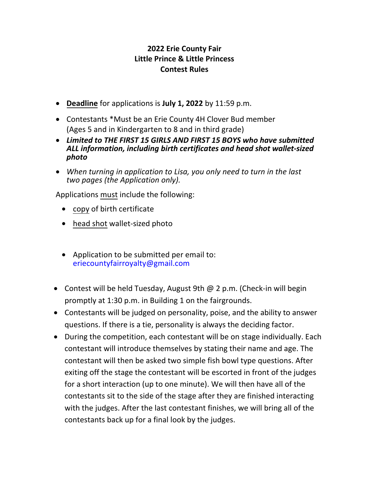## **2022 Erie County Fair Little Prince & Little Princess Contest Rules**

- **Deadline** for applications is **July 1, 2022** by 11:59 p.m.
- Contestants \*Must be an Erie County 4H Clover Bud member (Ages 5 and in Kindergarten to 8 and in third grade)
- *Limited to THE FIRST 15 GIRLS AND FIRST 15 BOYS who have submitted ALL information, including birth certificates and head shot wallet-sized photo*
- *When turning in application to Lisa, you only need to turn in the last two pages (the Application only).*

Applications must include the following:

- copy of birth certificate
- head shot wallet-sized photo  $\overline{a}$
- Application to be submitted per email to: eriecountyfairroyalty@gmail.com
- Contest will be held Tuesday, August 9th @ 2 p.m. (Check-in will begin promptly at 1:30 p.m. in Building 1 on the fairgrounds.
- Contestants will be judged on personality, poise, and the ability to answer questions. If there is a tie, personality is always the deciding factor.
- During the competition, each contestant will be on stage individually. Each contestant will introduce themselves by stating their name and age. The contestant will then be asked two simple fish bowl type questions. After exiting off the stage the contestant will be escorted in front of the judges for a short interaction (up to one minute). We will then have all of the contestants sit to the side of the stage after they are finished interacting with the judges. After the last contestant finishes, we will bring all of the contestants back up for a final look by the judges.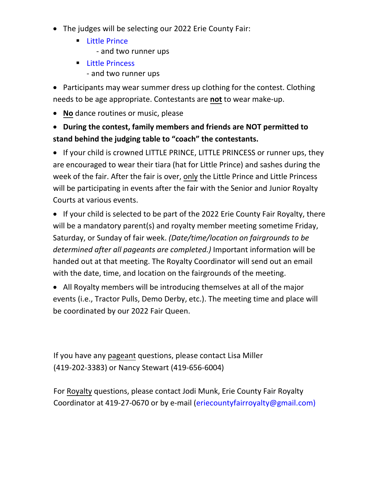- The judges will be selecting our 2022 Erie County Fair:
	- **Example 2 Little Prince** - and two runner ups
	- **Little Princess** - and two runner ups

• Participants may wear summer dress up clothing for the contest. Clothing needs to be age appropriate. Contestants are not to wear make-up.

• No dance routines or music, please

## • **DƵƌŝŶŐ ƚŚĞ ĐŽŶƚĞƐƚ͕ Ĩamily members and friends are NOT permitted to stand behind the judging table to "coach" the contestants.**

• If your child is crowned LITTLE PRINCE, LITTLE PRINCESS or runner ups, they are encouraged to wear their tiara (hat for Little Prince) and sashes during the week of the fair. After the fair is over, only the Little Prince and Little Princess will be participating in events after the fair with the Senior and Junior Royalty Courts at various events.

• If your child is selected to be part of the 2022 Erie County Fair Royalty, there will be a mandatory parent(s) and royalty member meeting sometime Friday, Saturday, or Sunday of fair week. *(Date/time/location on fairgrounds to be determined after all pageants are completed.)* Important information will be handed out at that meeting. The Royalty Coordinator will send out an email with the date, time, and location on the fairgrounds of the meeting.

• All Royalty members will be introducing themselves at all of the major events (i.e., Tractor Pulls, Demo Derby, etc.). The meeting time and place will be coordinated by our 2022 Fair Queen.

If you have any pageant questions, please contact Lisa Miller (419-202-3383) or Nancy Stewart (419-656-6004)

For Royalty questions, please contact Jodi Munk, Erie County Fair Royalty Coordinator at 419-27-0670 or by e-mail (eriecountyfairroyalty@gmail.com)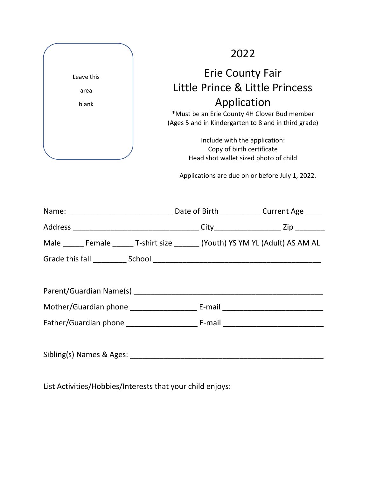| Leave this |  |
|------------|--|
| area       |  |
| blank      |  |
|            |  |
|            |  |
|            |  |
|            |  |

## 2022

## Erie County Fair Little Prince & Little Princess Application

\*Must be an Erie County 4H Clover Bud member (Ages 5 and in Kindergarten to 8 and in third grade)

> Include with the application: Copy of birth certificate Head shot wallet sized photo of child

Applications are due on or before July 1, 2022.

| Male ______ Female _______ T-shirt size _______ (Youth) YS YM YL (Adult) AS AM AL |  |
|-----------------------------------------------------------------------------------|--|
|                                                                                   |  |
|                                                                                   |  |
|                                                                                   |  |
|                                                                                   |  |
|                                                                                   |  |
|                                                                                   |  |
|                                                                                   |  |

List Activities/Hobbies/Interests that your child enjoys: